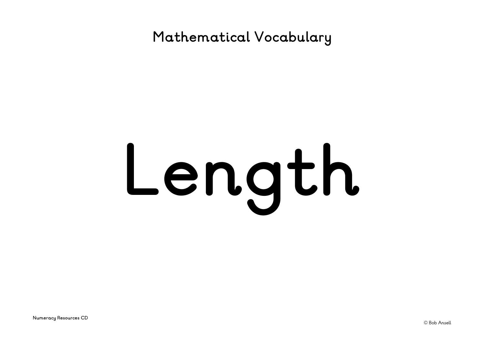**Mathematical Vocabulary**

# **Length**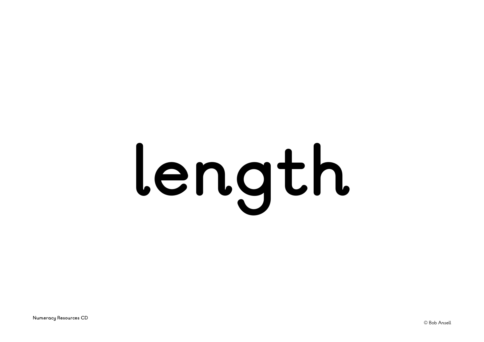# **length**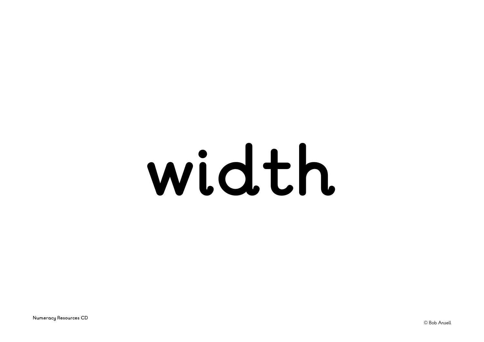### **width**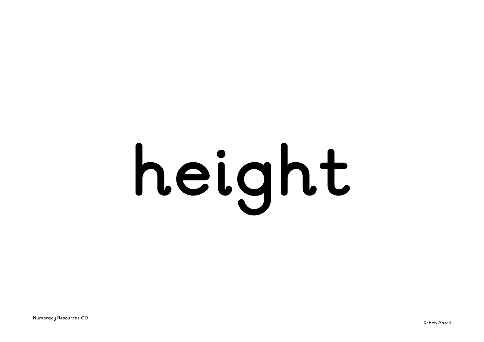# **height**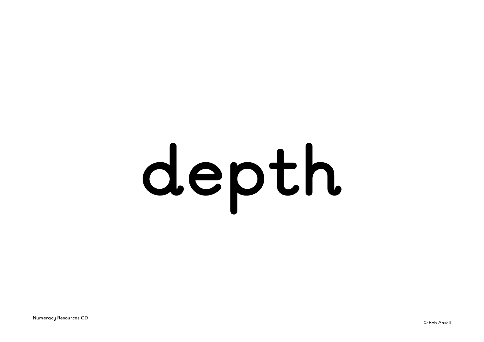### **depth**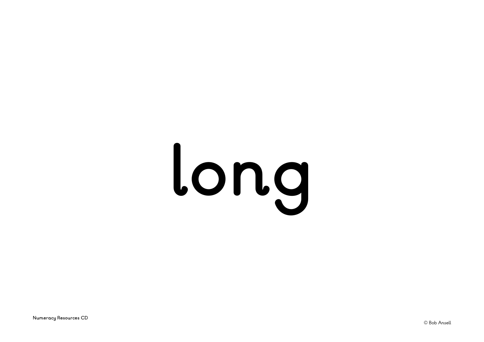# **long**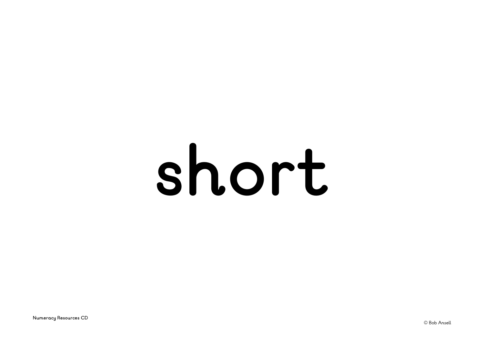### **short**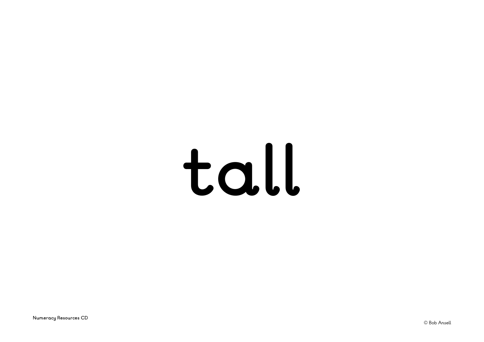#### **tall**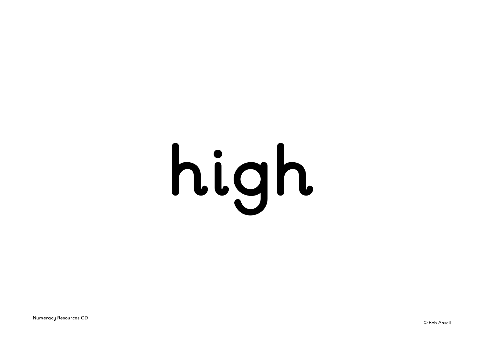# **high**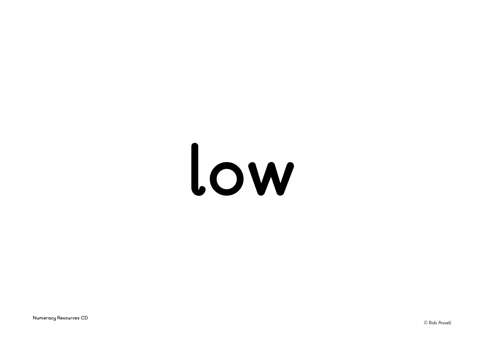### **low**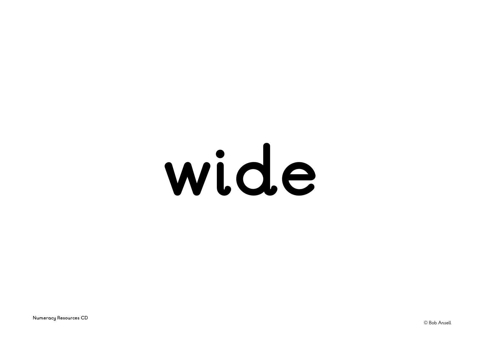### **wide**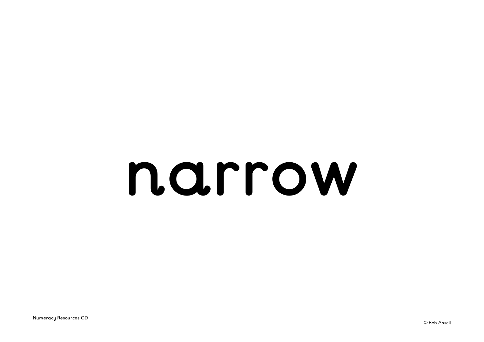#### **narrow**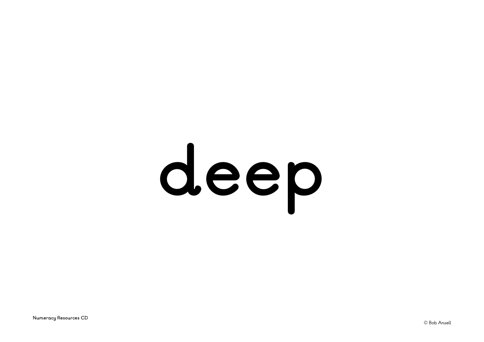# **deep**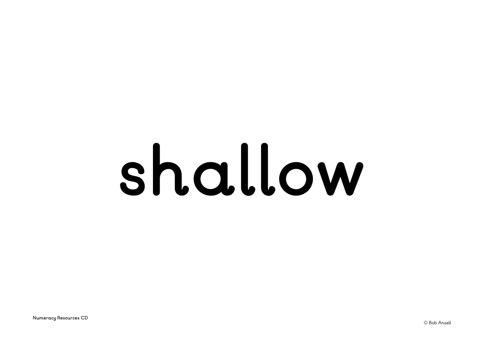### **shallow**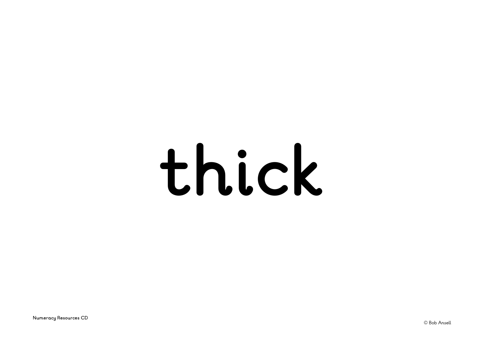#### **thick**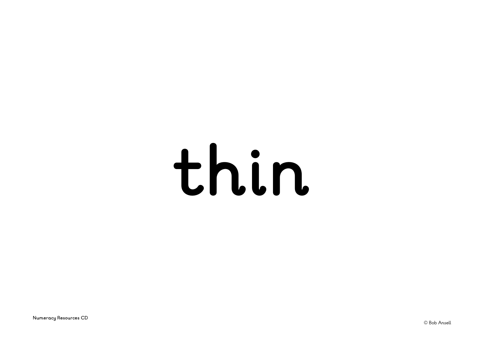### **thin**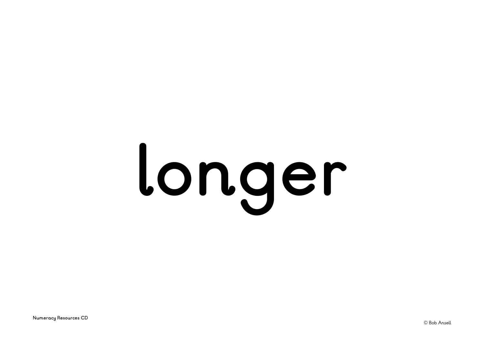### **longer**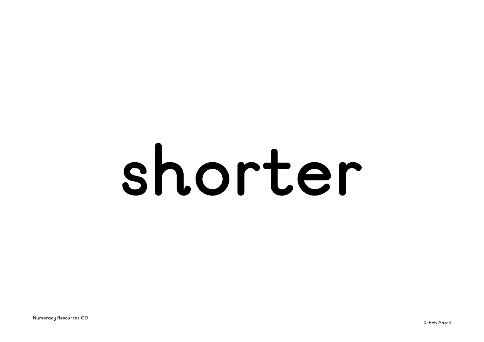#### **shorter**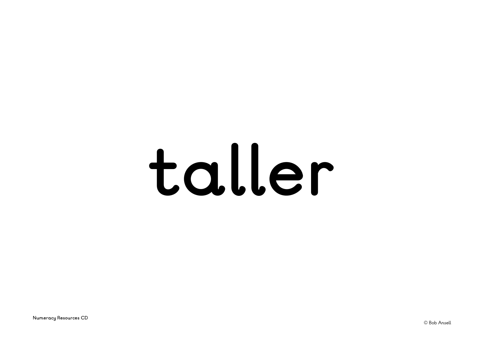#### **taller**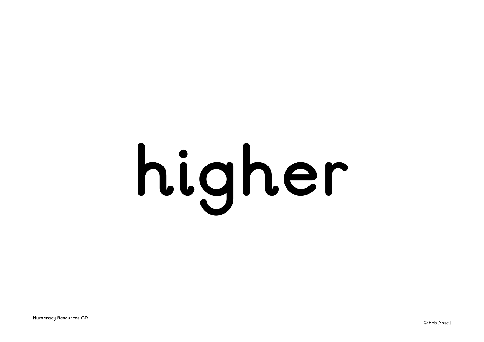# **higher**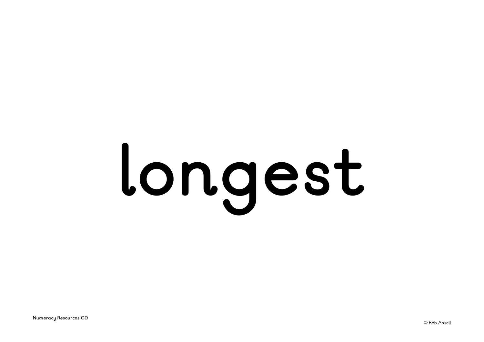### **longest**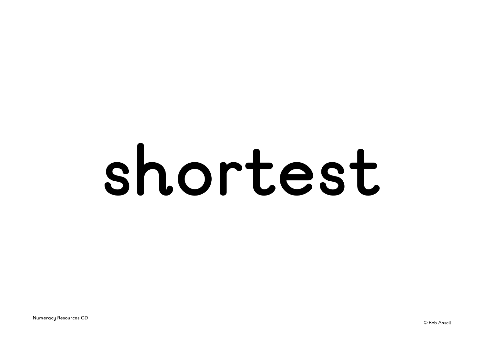#### **shortest**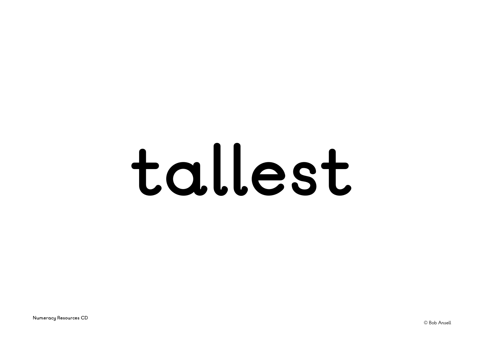#### **tallest**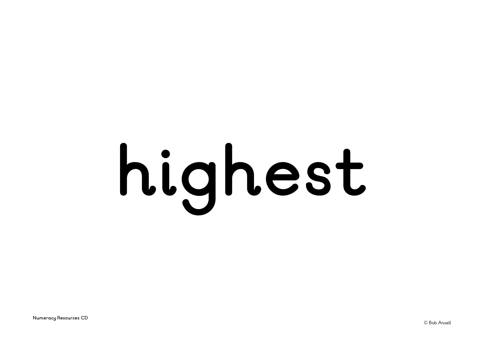### **highest**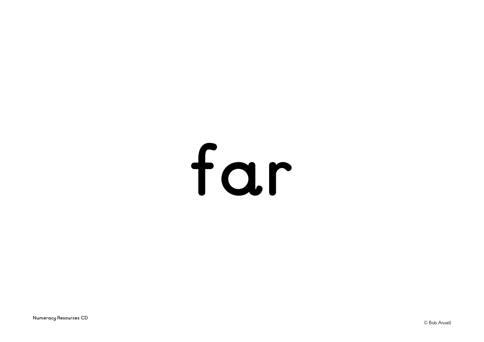### far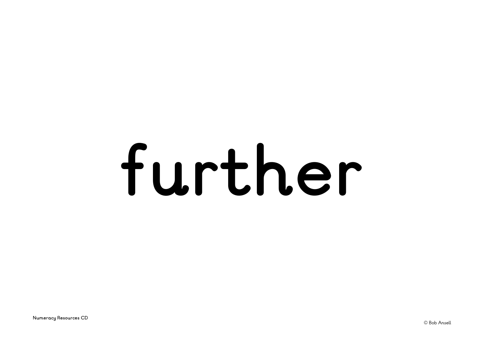#### **further**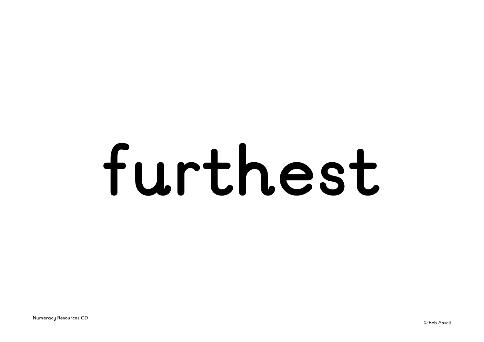### **furthest**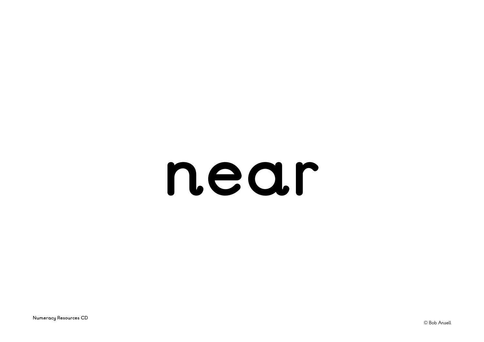#### **near**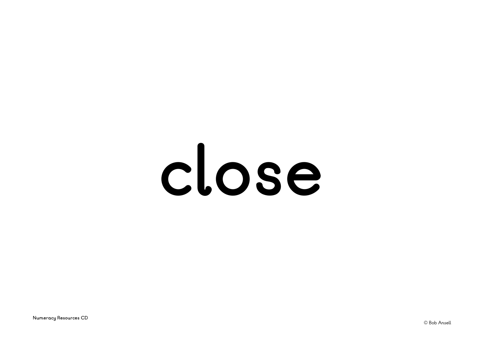#### **close**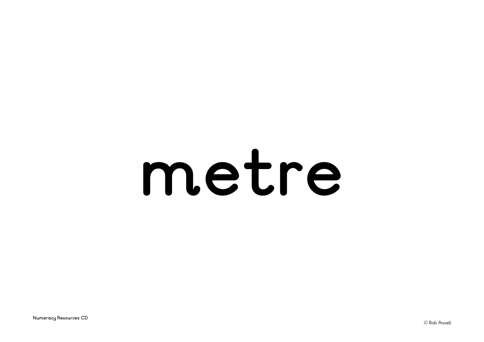#### **metre**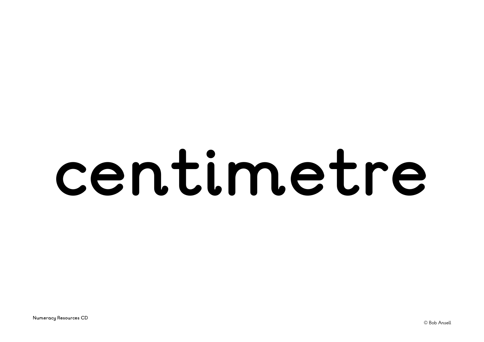#### **centimetre**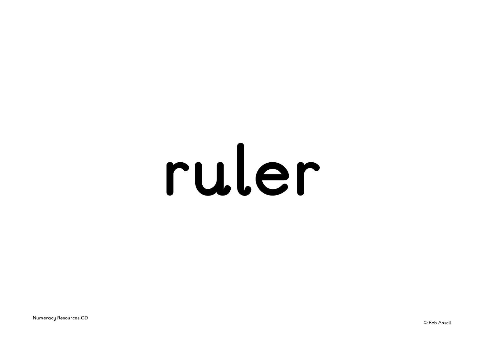#### **ruler**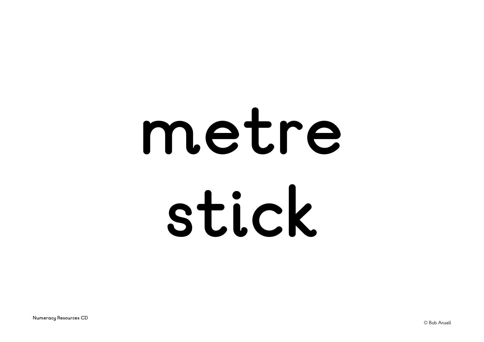### **metre stick**